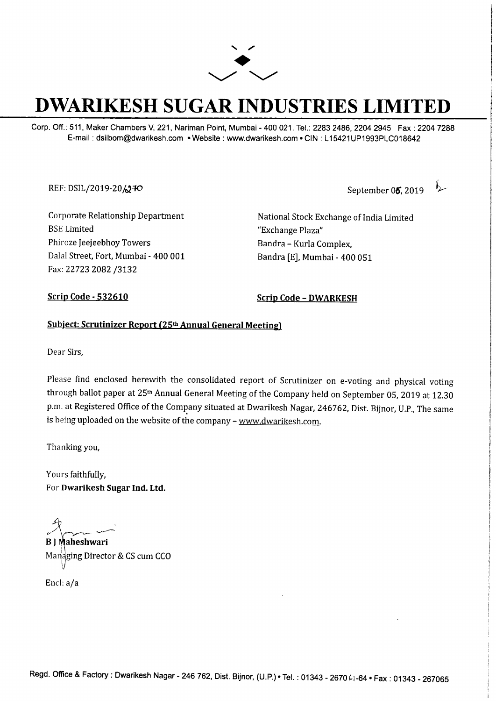

# **DWARIKESH SUGAR INDUSTRIES LIMITED**

Corp. Off.: 511, Maker Chambers V, 221, Nariman Point, Mumbai - 400 021. Tel.: 2283 2486, 2204 2945 Fax: 2204 7288 E-mail : dsilbom@dwarikesh.com • Website : www.dwarikesh.com • CIN : L 15421UP1993PLC018642

REF: DSIL/2019-20 **240** September **05, 2019** 

Corporate Relationship Department BSE Limited Phiroze Jeejeebhoy Towers Dalal Street, Fort, Mumbai - 400 001 Fax: 22723 2082 /3132

National Stock Exchange of India Limited "Exchange Plaza" Bandra - Kurla Complex, Bandra [E], Mumbai - 400 051

Scrip Code - 532610 Scrip Code - DWARKESH

#### Subject: Scrutinizer Report (25th Annual General Meeting)

Dear Sirs,

Please find enclosed herewith the consolidated report of Scrutinizer on e-voting and physical voting through ballot paper at 25th Annual General Meeting of the Company held on September 05, 2019 at 12.30 p.m. at Registered Office of the Company situated at Dwarikesh Nagar, 246762, Dist. Bijnor, U.P., The same is being uploaded on the website of the company - www.dwarikesh.com.

Thanking you,

Yours faithfully, For Dwarikesh Sugar Ind. Ltd.

*r-'-,,,,-...,- ~* 

B J Maheshwari Mandging Director & CS cum CCO

Encl: a/a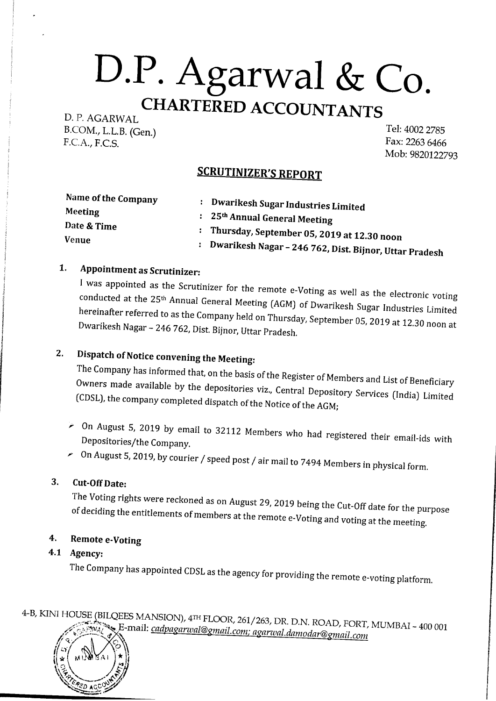D. P. AGARWAL B.COM., L.L.B. (Gen.) F.C.A., F.C.S.

Tel: 4002 2785 Fax: 2263 6466 Mob:9820122793

### SCRUTINIZER'S REPORT

| Name of the Company | Dwarikesh Sugar Industries Limited                       |
|---------------------|----------------------------------------------------------|
| Meeting             |                                                          |
| Date & Time         | : 25 <sup>th</sup> Annual General Meeting                |
| <b>Venue</b>        | : Thursday, September 05, 2019 at 12.30 noon             |
|                     | : Dwarikesh Nagar – 246 762, Dist. Bijnor, Uttar Pradesh |

### 1. Appointment as Scrutinizer:

I was appointed as the Scrutinizer for the remote e-Voting as well as the electronic voting conducted at the 25th Annual General Meeting (AGM) of Dwarikesh Sugar Industries Limited hereinafter referred to as the Company held on Thursday, September 05, 2019 at 12.30 noon at Dwarikesh Nagar - 246 762, Dist. Bijnor, Uttar Pradesh.

# 2. Dispatch of Notice convening the Meeting:

The Company has informed that, on the basis of the Register of Members and List of Beneficiary Owners made available by the depositories viz., Central Depository Services (India) Limited (CDSL), the company completed dispatch of the Notice of the AGM;

- $\geq$  0n August 5, 2019 by email to 32112 Members who had registered their email-ids with Depositories/the Company.
- $\sim$  0n August 5, 2019, by courier / speed post / air mail to 7494 Members in physical form.

#### 3. Cut-Off Date:

The Voting rights were reckoned as on August 29, 2019 being the Cut-Off date for the purpose of deciding the entitlements of members at the remote e-Voting and voting at the meeting.

#### 4. Remote e-Voting

#### 4.1 Agency:

The Company has appointed CDSL as the agency for providing the remote e-voting platform.

4-B, KINI HOUSE (BILQEES MANSION), 4TH FLOOR, 261/263, DR. D.N. ROAD, FORT, MUMBAI - 400 001 ,.~'.;.'~.~~,;~ E-mail: *cadpagarwal@gmail.com; aganval.damodar@grnail.com #'* q,/ *'l:.~'.---rn-[. 'f* ('\. *<sup>~</sup>*

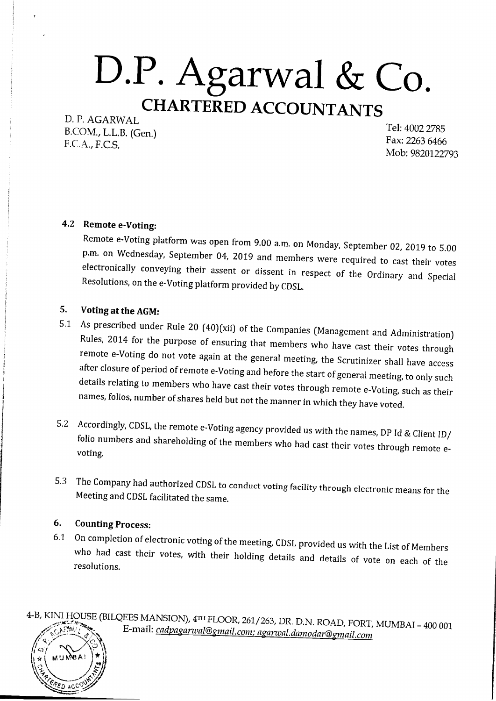D. P. AGARWAL B.COM., L.L.B. (Gen.) F.C.A., F.C.S.

Tel: 4002 2785 Fax: 2263 6466 Mob:9820122793

#### 4.2 **Remote e-Voting:**

Remote e-Voting platform was open from 9.00 a.m. on Monday, September 02, 2019 to 5.00 p.m. on Wednesday, September 04, 2019 and members were required to cast their votes electronically conveying their assent or dissent in respect of the Ordinary and Special Resolutions, on the e-Voting platform provided by CDSL.

#### **5. Voting atthe AGM:**

- 5.1 As prescribed under Rule 20 (40)(xii) of the Companies (Management and Administration) Rules, 2014 for the purpose of ensuring that members who have cast their votes through remote e-Voting do not vote again at the general meeting, the Scrutinizer shall have access after closure of period of remote e-Voting and before the start of general meeting, to only such details relating to members who have cast their votes through remote e-Voting, such as their names, folios, number of shares held but not the manner in which they have voted.
- 5.2 Accordingly, CDSL, the remote e-Voting agency provided us with the names, DP Id & Client ID/ folio numbers and shareholding of the members who had cast their votes through remote evoting.
- 5.3 The Company had authorized CDSL to conduct voting facility through electronic means for the Meeting and CDSL facilitated the same.

#### **6. Counting Process:**

*~*

*,~t ~\* MU~, A)' !tJ *~-' fi?IJ frical distribution*  $\varepsilon$ d acc

6.1 On completion of electronic voting of the meeting, CDSL provided us with the List of Members who had cast their votes, with their holding details and details of vote on each of the resolutions.

4-B, KINI HOUSE (BILQEES MANSION), 4m FLOOR, 261/263, DR. D.N. ROAD, FORT, MUMBAI - 400 001 ~;;~j~-~,;?,:;,i.•.. E-mail: *cadpaganval@gmail.com; aganval.damodar@gmail.com #/ \">'-j --··---* ..Ji. *,l<~ t r /* <,v . ~  $\mathbb{Z}^{\times}$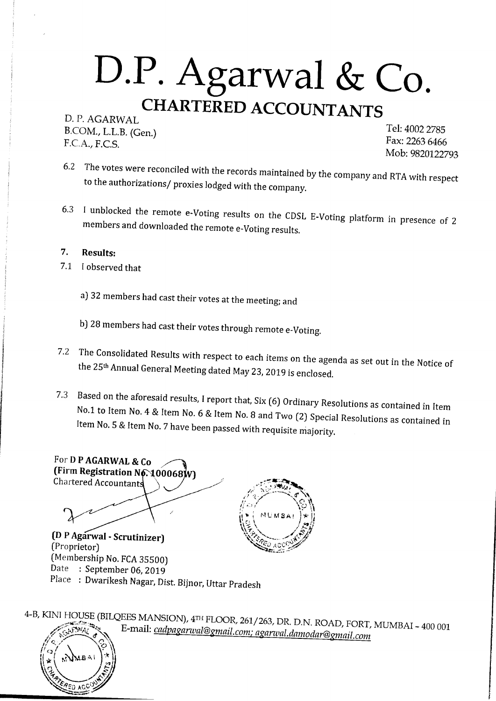D. P. AGARWAL B.COM., L.L.B. (Gen.) F.C.A., F.C.S.

Tel: 4002 2785 Fax: 2263 6466 Mob:9820122793

- 6.2 The votes were reconciled with the records maintained by the company and RTA with respect to the authorizations/ proxies lodged with the company.
- 6.3 I unblocked the remote e-Voting results on the CDSL E-Voting platform in presence of 2 members and downloaded the remote e-Voting results.

#### **7. Results:**

- 7.1 I observed that
	- a) 32 members had cast their votes at the meeting; and
	- b) 28 members had cast their votes through remote e-Voting,
- 7.2 The Consolidated Results with respect to each items on the agenda as set out in the Notice of the 25<sup>th</sup> Annual General Meeting dated May 23, 2019 is enclosed.
- 7.3 Based on the aforesaid results, I report that, Six (6) Ordinary Resolutions as contained in Item No.1 to Item No. 4 & Item No. 6 & Item No. 8 and Two (2) Special Resolutions as contained in Item No. 5 & Item No. 7 have been passed with requisite majority.



4-B, KINI HOUSE (BILQEES MANSION), 4rn FLOOR, 261/263, DR. D.N. ROAD, FORT, MUMBAI - 400 001 .,,~,?:1;(i:: ;!to~,,. E-mail: *cadpagarwal@gmail.com; agarwal. damodar@gmail.com* 

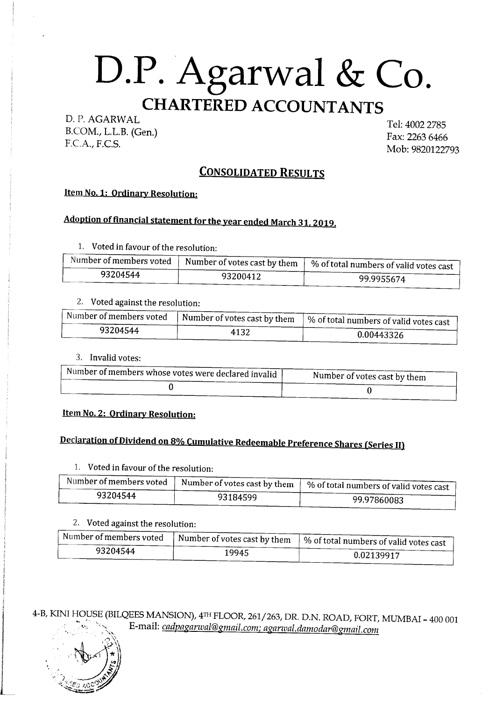### D. P. AGARWAL

B.COM., L.L.B. (Gen.) F.C.A., F.C.S.

Tel: 4002 2785 Fax: 2263 6466 Mob:9820122793

### **CONSOLIDATED RESULTS**

#### Item **No. 1: Ordinary Resolution:**

### **Adoption of financial statement for the year ended March 31, 2019.**

1. Voted in favour of the resolution:

| Number of members voted | $\Box$ Number of votes cast by them | 4   % of total numbers of valid votes cast |
|-------------------------|-------------------------------------|--------------------------------------------|
| 93204544                | 93200412                            | 99.9955674                                 |

#### 2. Voted against the resolution:

| . Number of members voted | $\sim$   Number of votes cast by them $\sim$ | $\mathbb{R}$   % of total numbers of valid votes cast |
|---------------------------|----------------------------------------------|-------------------------------------------------------|
| 93204544                  | 4132                                         | 0.00443326                                            |

3. Invalid votes:

| . Number of members whose votes were declared invalid $\,$ l $\,$ | Number of votes cast by them |
|-------------------------------------------------------------------|------------------------------|
|                                                                   |                              |

#### Item **No. 2: Ordinary Resolution:**

# **Declaration of Dividend on 8% Cumulative Redeemable Preference Shares (Series II)**

1. Voted in favour of the resolution:

| Number of members voted | $\sim$   Number of votes cast by them   $\sim$ | 4   % of total numbers of valid votes cast |
|-------------------------|------------------------------------------------|--------------------------------------------|
| 93204544                | 93184599                                       | 99.97860083                                |

#### 2. Voted against the resolution:

| . Number of members voted | $\parallel$ Number of votes cast by them $\parallel$ ^ | $\sim$   % of total numbers of valid votes cast |
|---------------------------|--------------------------------------------------------|-------------------------------------------------|
| 93204544                  | 19945                                                  | 0.02139917                                      |

4-B, KINI HOUSE (BILQEES MANSION), 4rn FLOOR, 261/263, DR. D.N. ROAD, FORT, MUMBAI - 400 001 E-mail: cadpagarwal@gmail.com; agarwal.damodar@gmail.com



L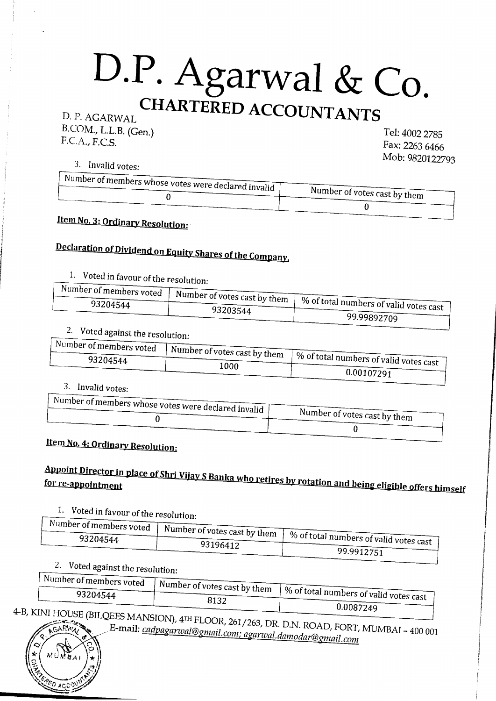B.COM., L.L.B. (Gen.) F.C.A., F.C.S.

Tel: 4002 2785 Fax: 2263 6466 Mob:9820122793

 $\frac{3. \text{Invalid votes:}}{\text{Number of much}}$ 

| <b>Example of indiffusion whose votes were declared invalid 1</b> | Number of votes cast by them |
|-------------------------------------------------------------------|------------------------------|
|                                                                   |                              |

### **Item No. 3: Ordinary Resolution:**

# **Declaration of Dividend on Equity Shares of the Company.**

# 1. Voted in favour of the resolution:

| $\sim$ symmetric of members voted $\sim$ $\sim$ | $\sim$ u   Number of votes cast by them   01 | $\sim$ 10   % of total numbers of valid votes cast |
|-------------------------------------------------|----------------------------------------------|----------------------------------------------------|
| 93204544                                        | 93203544                                     | 99.99892709                                        |

#### 2. Voted against the resolution:  $\sqrt{\frac{N_{\text{tr}}-1}{N_{\text{tr}}}}$

| a a dimension of members voted at $\mathbf{r}$ | $\sim$ cu   Number of votes cast by them   0/ | $\sim$ 11   % of total numbers of valid votes cast |
|------------------------------------------------|-----------------------------------------------|----------------------------------------------------|
| 93204544                                       | 1000                                          | 0.00107291                                         |
|                                                |                                               |                                                    |

3. Invalid votes:

| . Number of members whose votes were declared invalid $\,$ $\,$ $\,$ |                              |
|----------------------------------------------------------------------|------------------------------|
|                                                                      | Number of votes cast by them |
|                                                                      |                              |

### **Item No. 4: Ordinary Resolution:**

# *Appoint Director in place of Shri Vijay S Banka who retires by rotation and being eligible offers himself for re-appointment*

# 1. Voted in favour of the resolution:

| $\mathbb{R}^n$ is denoted the members voted if $\mathbb{R}^n$ | $\sim$ cu   Number of votes cast by them   $\sim$ |                                                    |
|---------------------------------------------------------------|---------------------------------------------------|----------------------------------------------------|
| 93204544                                                      |                                                   | $\sim$ 10   % of total numbers of valid votes cast |
|                                                               | 93196412                                          | 99.9912751                                         |
|                                                               |                                                   |                                                    |

# 2. Voted against the resolution:

| $\rightarrow$ Number of members voted $\rightarrow$ $\rightarrow$<br>93204544 | $\sim$ -   Number of votes cast by them $+ \infty$<br>8132 | $\sim$ and 1 % of total numbers of valid votes cast |
|-------------------------------------------------------------------------------|------------------------------------------------------------|-----------------------------------------------------|
| $ZINITIIONF \rightarrow -$                                                    |                                                            | 0.0087249                                           |

 $\frac{1}{\sqrt{1-\frac{1}{\sqrt{1-\frac{1}{\sqrt{1-\frac{1}{\sqrt{1-\frac{1}{\sqrt{1-\frac{1}{\sqrt{1-\frac{1}{\sqrt{1-\frac{1}{\sqrt{1-\frac{1}{\sqrt{1-\frac{1}{\sqrt{1-\frac{1}{\sqrt{1-\frac{1}{\sqrt{1-\frac{1}{\sqrt{1-\frac{1}{\sqrt{1-\frac{1}{\sqrt{1-\frac{1}{\sqrt{1-\frac{1}{\sqrt{1-\frac{1}{\sqrt{1-\frac{1}{\sqrt{1-\frac{1}{\sqrt{1-\frac{1}{\sqrt{1-\frac{1}{\sqrt{1-\frac{1}{\sqrt{1-\frac{1}{\sqrt{1-\frac{1$ **~~~~ l1>. /** E-mail: *cadpagarwal@gmail.com; agarwal.damodar@gmail.com {~,rfc,* 

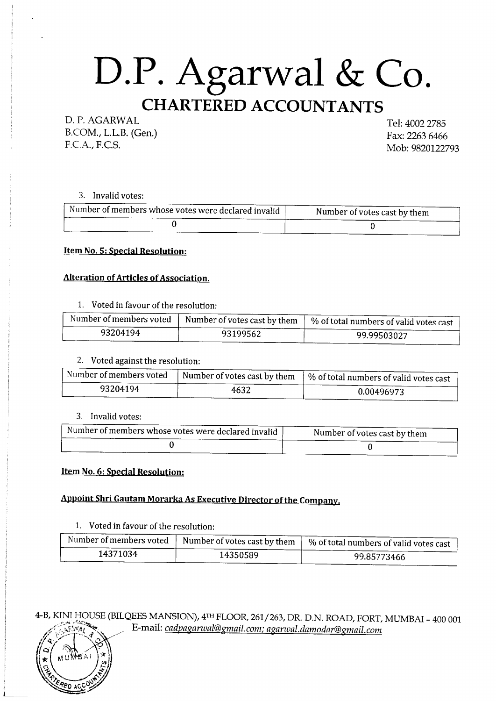D. P. AGARWAL B.COM., L.L.B. (Gen.) F.C.A., F.C.S.

Tel: 4002 2785 Fax: 2263 6466 Mob:9820122793

3. Invalid votes:

| Number of members whose votes were declared invalid | Number of votes cast by them |
|-----------------------------------------------------|------------------------------|
|                                                     |                              |

Item No. 5: Special Resolution:

#### Alteration of Articles of Association.

1. Voted in favour of the resolution:

| Number of members voted | Number of votes cast by them | $\pm$ % of total numbers of valid votes cast $\pm$ |
|-------------------------|------------------------------|----------------------------------------------------|
| 93204194                | 93199562                     | 99.99503027                                        |

2. Voted against the resolution:

| Number of members voted | Number of votes cast by them | 1 % of total numbers of valid votes cast |
|-------------------------|------------------------------|------------------------------------------|
| 93204194                | 4632                         | 0.00496973                               |

3. Invalid votes:

| . Number of members whose votes were declared invalid $\frac{1}{2}$ | Number of votes cast by them |
|---------------------------------------------------------------------|------------------------------|
|                                                                     |                              |

#### Item No. 6: Special Resolution:

### Appoint Shri Gautam Morarka As Executive Director of the Company.

1. Voted in favour of the resolution:

| Number of members voted | ↑ Number of votes cast by them | ↑ % of total numbers of valid votes cast |
|-------------------------|--------------------------------|------------------------------------------|
| 14371034                | 14350589                       | 99.85773466                              |

4-B, KINI HOUSE (BILQEES MANSION), 4rn FLOOR, 261/263, DR. D.N. ROAD, FORT, MUMBAI - 400 001 /.< *:\s~:.:1~' ..* E-mail: *cadpaganval@gmail.com; agarwal.damodar@gmail.com* 

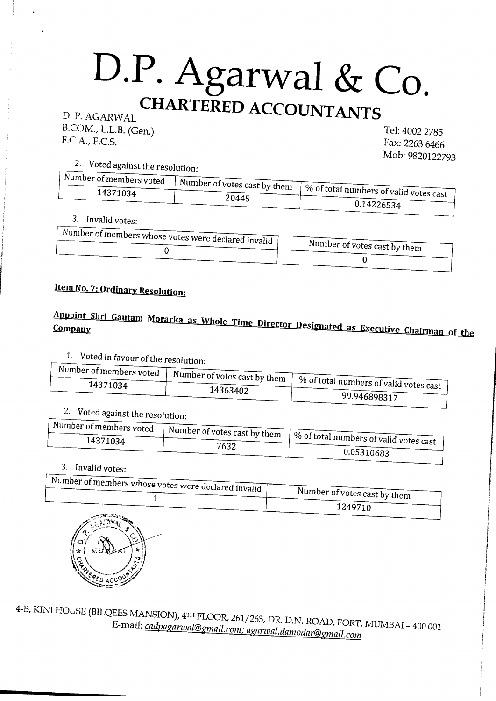D. P. AGARWAL B.COM., L.L.B. (Gen.) F.C.A., F.C.S.

Tel: 4002 2785 Fax: 2263 6466 Mob:9820122793

2. Voted against the resolution:  $\sqrt{1 + x^2}$ 

| $\cdots$ wumber of members voted $\cdots$ | $\log$   Number of votes cast by them   0/ | $\sim$ 11   % of total numbers of valid votes cast |
|-------------------------------------------|--------------------------------------------|----------------------------------------------------|
| 14371034                                  | 20445                                      | 0.14226534                                         |
|                                           |                                            |                                                    |

3. Invalid votes:

| . Number of members whose votes were declared invalid $\,$ $\,$ $\,$ |                              |
|----------------------------------------------------------------------|------------------------------|
|                                                                      | Number of votes cast by them |
|                                                                      |                              |

### **Item No. 7: Ordinary Resolution:**

# Appoint Shri Gautam Morarka as Whole Time Director Designated as Executive Chairman of the

1. Voted in favour of the resolution:

| $\mathbb{R}^n$ is umber of members voted $\mathbb{R}^n$ | $\sim$ $\epsilon$   Number of votes cast by them   0/ |                                                    |
|---------------------------------------------------------|-------------------------------------------------------|----------------------------------------------------|
| 14371034                                                | 14363402                                              | $\sim$ 11   % of total numbers of valid votes cast |
|                                                         |                                                       | 99.946898317                                       |

### 2. Voted against the resolution:

| $\cdots$ umber of members voted $\cdots$ | $\sim$ -   Number of votes cast by them $\sim$ |                                                       |
|------------------------------------------|------------------------------------------------|-------------------------------------------------------|
| 14371034                                 | 7632                                           | $\sim$ $\mu$   % of total numbers of valid votes cast |
|                                          |                                                | 0.05310683                                            |

#### 3. Invalid votes:

| $\,$ Number of members whose votes were declared invalid $\,$ I $\,$ | Number of votes cast by them |
|----------------------------------------------------------------------|------------------------------|
|                                                                      | 1249710                      |
| يعاجلنا فتستبككته يتبرعه<br>والمركبتين والمراسيس مسترسخ              |                              |



4-B, KINI HOUSE (BILQEES MANSION), 4rn FLOOR, 261/263, DR. D.N. ROAD, FORT, MUMBAI - 400 001 E-mail: *cadpagarwal@gmail.com; aganval.damodar@gmail.com*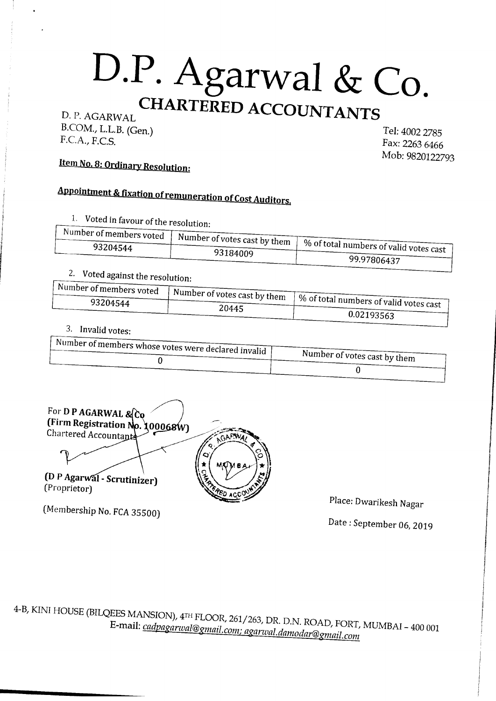B.COM., L.L.B. (Gen.) F.C.A., F.C.S.

Tel: 4002 2785 Fax: 2263 6466 Mob:9820122793

# Item No. 8: Ordinary Resolution:

# **Appointment & fixation of remuneration of Cost Auditors.**

1. Voted in favour of the resolution:

| $\sim$ symber of members voted $\sim$ $\sim$ | $\sim$ $\alpha$   Number of votes cast by them   $\alpha$ | $\sim$ 11   % of total numbers of valid votes cast |
|----------------------------------------------|-----------------------------------------------------------|----------------------------------------------------|
| 93204544                                     | 93184009                                                  | 99.97806437                                        |

### 2. Voted against the resolution:

| Wumber of members voted $\cdots$ | $\log$   Number of votes cast by them $\log$ | $\sim$ 111   % of total numbers of valid votes cast |
|----------------------------------|----------------------------------------------|-----------------------------------------------------|
| 93204544                         | 20445                                        | 0.02193563                                          |
|                                  |                                              |                                                     |

#### 3. Invalid votes:

| . Number of members whose votes were declared invalid $\parallel$ |                              |
|-------------------------------------------------------------------|------------------------------|
|                                                                   | Number of votes cast by them |
|                                                                   |                              |

For D P AGARWAL & Co (Firm Registration Chartered Accountants **. 100068W)** (DP Agarwal - Scrutinizer) (Proprietor)

(Membership No. FCA 35500)

Place: Dwarikesh Nagar

Date: September 06, 2019

4-B, KIN! HOUSE (BILQEES MANSION), 4m FLOOR, 261/263, DR. D.N. ROAD, FORT, MUMBAI - 400 001 E-mail: *cadpaganval@gmail.com; aganval.damodar@gmail.com*